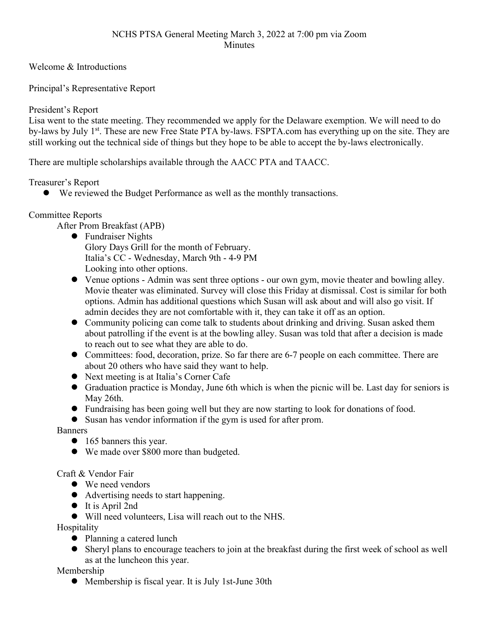Welcome & Introductions

Principal's Representative Report

President's Report

Lisa went to the state meeting. They recommended we apply for the Delaware exemption. We will need to do by-laws by July 1<sup>st</sup>. These are new Free State PTA by-laws. FSPTA.com has everything up on the site. They are still working out the technical side of things but they hope to be able to accept the by-laws electronically.

There are multiple scholarships available through the AACC PTA and TAACC.

Treasurer's Report

We reviewed the Budget Performance as well as the monthly transactions.

# Committee Reports

After Prom Breakfast (APB)

- Fundraiser Nights Glory Days Grill for the month of February. Italia's CC - Wednesday, March 9th - 4-9 PM Looking into other options.
- Venue options Admin was sent three options our own gym, movie theater and bowling alley. Movie theater was eliminated. Survey will close this Friday at dismissal. Cost is similar for both options. Admin has additional questions which Susan will ask about and will also go visit. If admin decides they are not comfortable with it, they can take it off as an option.
- Community policing can come talk to students about drinking and driving. Susan asked them about patrolling if the event is at the bowling alley. Susan was told that after a decision is made to reach out to see what they are able to do.
- Committees: food, decoration, prize. So far there are 6-7 people on each committee. There are about 20 others who have said they want to help.
- Next meeting is at Italia's Corner Cafe
- Graduation practice is Monday, June 6th which is when the picnic will be. Last day for seniors is May 26th.
- Fundraising has been going well but they are now starting to look for donations of food.
- Susan has vendor information if the gym is used for after prom.

Banners

- 165 banners this year.
- We made over \$800 more than budgeted.

Craft & Vendor Fair

- We need vendors
- Advertising needs to start happening.
- $\bullet$  It is April 2nd

Will need volunteers, Lisa will reach out to the NHS.

Hospitality

- Planning a catered lunch
- Sheryl plans to encourage teachers to join at the breakfast during the first week of school as well as at the luncheon this year.

Membership

Membership is fiscal year. It is July 1st-June 30th